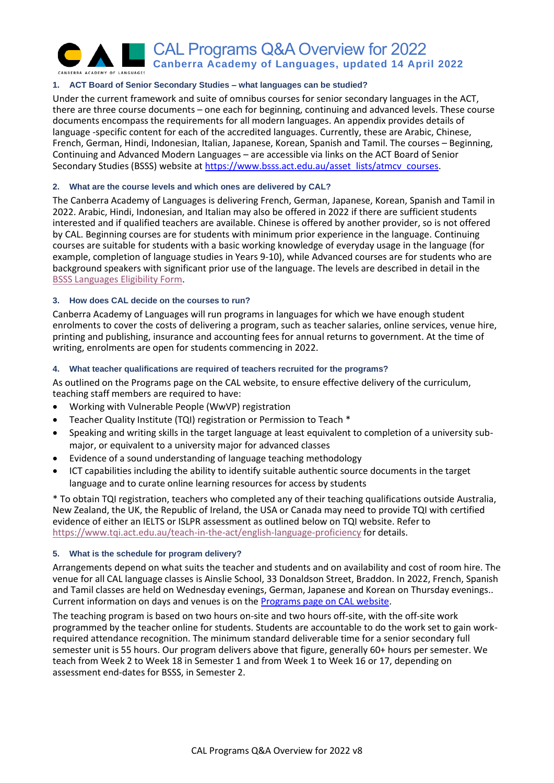

# **1. ACT Board of Senior Secondary Studies – what languages can be studied?**

Under the current framework and suite of omnibus courses for senior secondary languages in the ACT, there are three course documents – one each for beginning, continuing and advanced levels. These course documents encompass the requirements for all modern languages. An appendix provides details of language -specific content for each of the accredited languages. Currently, these are Arabic, Chinese, French, German, Hindi, Indonesian, Italian, Japanese, Korean, Spanish and Tamil. The courses – Beginning, Continuing and Advanced Modern Languages – are accessible via links on the ACT Board of Senior Secondary Studies (BSSS) website at [https://www.bsss.act.edu.au/asset\\_lists/atmcv\\_courses.](https://www.bsss.act.edu.au/asset_lists/atmcv_courses)

# **2. What are the course levels and which ones are delivered by CAL?**

The Canberra Academy of Languages is delivering French, German, Japanese, Korean, Spanish and Tamil in 2022. Arabic, Hindi, Indonesian, and Italian may also be offered in 2022 if there are sufficient students interested and if qualified teachers are available. Chinese is offered by another provider, so is not offered by CAL. Beginning courses are for students with minimum prior experience in the language. Continuing courses are suitable for students with a basic working knowledge of everyday usage in the language (for example, completion of language studies in Years 9-10), while Advanced courses are for students who are background speakers with significant prior use of the language. The levels are described in detail in the [BSSS Languages Eligibility Form.](https://www.bsss.act.edu.au/__data/assets/word_doc/0006/519486/!BSSS_Language_Eligibility_Form_Board_Endorsed_2017.docx)

# **3. How does CAL decide on the courses to run?**

Canberra Academy of Languages will run programs in languages for which we have enough student enrolments to cover the costs of delivering a program, such as teacher salaries, online services, venue hire, printing and publishing, insurance and accounting fees for annual returns to government. At the time of writing, enrolments are open for students commencing in 2022.

# **4. What teacher qualifications are required of teachers recruited for the programs?**

As outlined on the Programs page on the CAL website, to ensure effective delivery of the curriculum, teaching staff members are required to have:

- Working with Vulnerable People (WwVP) registration
- Teacher Quality Institute (TQI) registration or Permission to Teach \*
- Speaking and writing skills in the target language at least equivalent to completion of a university submajor, or equivalent to a university major for advanced classes
- Evidence of a sound understanding of language teaching methodology
- ICT capabilities including the ability to identify suitable authentic source documents in the target language and to curate online learning resources for access by students

\* To obtain TQI registration, teachers who completed any of their teaching qualifications outside Australia, New Zealand, the UK, the Republic of Ireland, the USA or Canada may need to provide TQI with certified evidence of either an IELTS or ISLPR assessment as outlined below on TQI website. Refer to <https://www.tqi.act.edu.au/teach-in-the-act/english-language-proficiency> for details.

### **5. What is the schedule for program delivery?**

Arrangements depend on what suits the teacher and students and on availability and cost of room hire. The venue for all CAL language classes is Ainslie School, 33 Donaldson Street, Braddon. In 2022, French, Spanish and Tamil classes are held on Wednesday evenings, German, Japanese and Korean on Thursday evenings.. Current information on days and venues is on the [Programs page on CAL website.](https://cal.act.edu.au/programs.htm)

The teaching program is based on two hours on-site and two hours off-site, with the off-site work programmed by the teacher online for students. Students are accountable to do the work set to gain workrequired attendance recognition. The minimum standard deliverable time for a senior secondary full semester unit is 55 hours. Our program delivers above that figure, generally 60+ hours per semester. We teach from Week 2 to Week 18 in Semester 1 and from Week 1 to Week 16 or 17, depending on assessment end-dates for BSSS, in Semester 2.